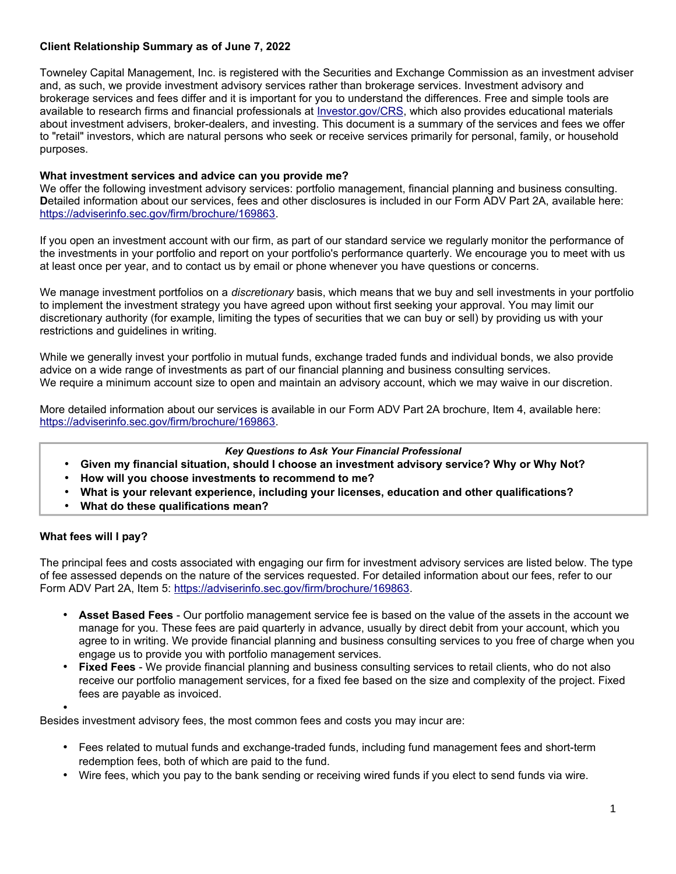# **Client Relationship Summary as of June 7, 2022**

Towneley Capital Management, Inc. is registered with the Securities and Exchange Commission as an investment adviser and, as such, we provide investment advisory services rather than brokerage services. Investment advisory and brokerage services and fees differ and it is important for you to understand the differences. Free and simple tools are available to research firms and financial professionals at [Investor.gov/CRS,](http://www.Investor.gov/CRS) which also provides educational materials about investment advisers, broker-dealers, and investing. This document is a summary of the services and fees we offer to "retail" investors, which are natural persons who seek or receive services primarily for personal, family, or household purposes.

### **What investment services and advice can you provide me?**

We offer the following investment advisory services: portfolio management, financial planning and business consulting. **D**etailed information about our services, fees and other disclosures is included in our Form ADV Part 2A, available here: [https://adviserinfo.sec.gov/firm/brochure/169863.](https://adviserinfo.sec.gov/firm/brochure/169863)

If you open an investment account with our firm, as part of our standard service we regularly monitor the performance of the investments in your portfolio and report on your portfolio's performance quarterly. We encourage you to meet with us at least once per year, and to contact us by email or phone whenever you have questions or concerns.

We manage investment portfolios on a *discretionary* basis, which means that we buy and sell investments in your portfolio to implement the investment strategy you have agreed upon without first seeking your approval. You may limit our discretionary authority (for example, limiting the types of securities that we can buy or sell) by providing us with your restrictions and guidelines in writing.

While we generally invest your portfolio in mutual funds, exchange traded funds and individual bonds, we also provide advice on a wide range of investments as part of our financial planning and business consulting services. We require a minimum account size to open and maintain an advisory account, which we may waive in our discretion.

More detailed information about our services is available in our Form ADV Part 2A brochure, Item 4, available here: [https://adviserinfo.sec.gov/firm/brochure/169863.](https://adviserinfo.sec.gov/firm/brochure/169863)

#### *Key Questions to Ask Your Financial Professional*

- **Given my financial situation, should I choose an investment advisory service? Why or Why Not?**
- **How will you choose investments to recommend to me?**
- **What is your relevant experience, including your licenses, education and other qualifications?**
- **What do these qualifications mean?**

## **What fees will I pay?**

The principal fees and costs associated with engaging our firm for investment advisory services are listed below. The type of fee assessed depends on the nature of the services requested. For detailed information about our fees, refer to our Form ADV Part 2A, Item 5: [https://adviserinfo.sec.gov/firm/brochure/169863.](https://adviserinfo.sec.gov/firm/brochure/169863)

- **Asset Based Fees** Our portfolio management service fee is based on the value of the assets in the account we manage for you. These fees are paid quarterly in advance, usually by direct debit from your account, which you agree to in writing. We provide financial planning and business consulting services to you free of charge when you engage us to provide you with portfolio management services.
- **Fixed Fees** We provide financial planning and business consulting services to retail clients, who do not also receive our portfolio management services, for a fixed fee based on the size and complexity of the project. Fixed fees are payable as invoiced.

•

Besides investment advisory fees, the most common fees and costs you may incur are:

- Fees related to mutual funds and exchange-traded funds, including fund management fees and short-term redemption fees, both of which are paid to the fund.
- Wire fees, which you pay to the bank sending or receiving wired funds if you elect to send funds via wire.